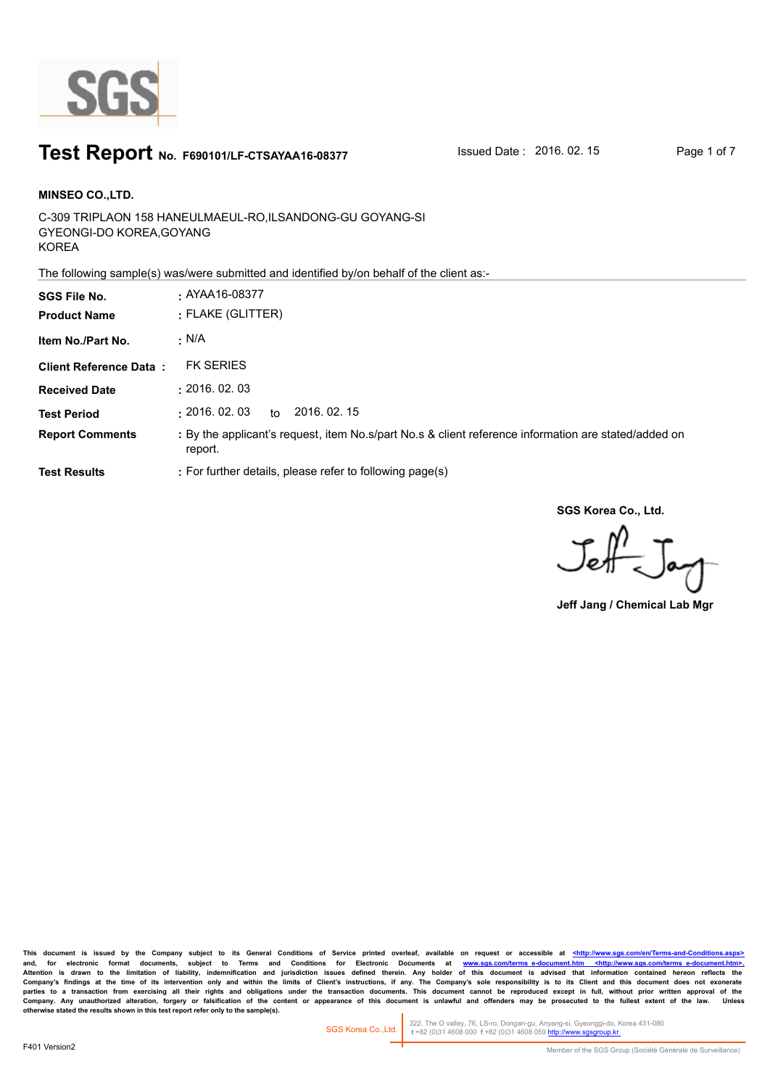

### **Test Report** No. F690101/LF-CTSAYAA16-08377 Susued Date : 2016. 02. 15 Page 1 of 7

C-309 TRIPLAON 158 HANEULMAEUL-RO,ILSANDONG-GU GOYANG-SI GYEONGI-DO KOREA,GOYANG KOREA **MINSEO CO.,LTD. SGS File No. :** AYAA16-08377

The following sample(s) was/were submitted and identified by/on behalf of the client as:-

| <b>SGS File No.</b>           | $\cdot$ AYAA16-08377                                                                                            |
|-------------------------------|-----------------------------------------------------------------------------------------------------------------|
| <b>Product Name</b>           | : FLAKE (GLITTER)                                                                                               |
| Item No./Part No.             | · N/A                                                                                                           |
| <b>Client Reference Data:</b> | <b>FK SERIES</b>                                                                                                |
| <b>Received Date</b>          | : 2016.02.03                                                                                                    |
| <b>Test Period</b>            | : 2016.02.03<br>2016, 02, 15<br>to                                                                              |
| <b>Report Comments</b>        | : By the applicant's request, item No.s/part No.s & client reference information are stated/added on<br>report. |
| <b>Test Results</b>           | : For further details, please refer to following page(s)                                                        |

**SGS Korea Co., Ltd.**

 $J_{\rm eff}$ 

**Jeff Jang / Chemical Lab Mgr**

This document is issued by the Company subject to its General Conditions of Service printed overleaf, available on request or accessible at <http://www.sgs.com/en/Terms-and-C and, for electronic format documents, subject to Terms and Conditions for Electronic Documents at <u>www.sgs.com/terms\_e-document.htm <http://www.sgs.com/terms\_e-document.htm>-</u><br>Attention is drawn to the limitation of liabil Company's findings at the time of its intervention only and within the limits of Client's instructions, if any. The Company's sole responsibility is to its Client and this document does not exonerate<br>parties to a transacti Company. Any unauthorized alteration, forgery or falsification of the content or appearance of this document is unlawful and offenders may be prosecuted to the fullest extent of the law. Unless otherwise stated the results

322, The O valley, 76, LS-ro, Dongan-gu, Anyang-si, Gyeonggi-do, Korea 431-080  **t** +82 (0)31 4608 000 **f** +82 (0)31 4608 059 http://www.sgsgroup.kr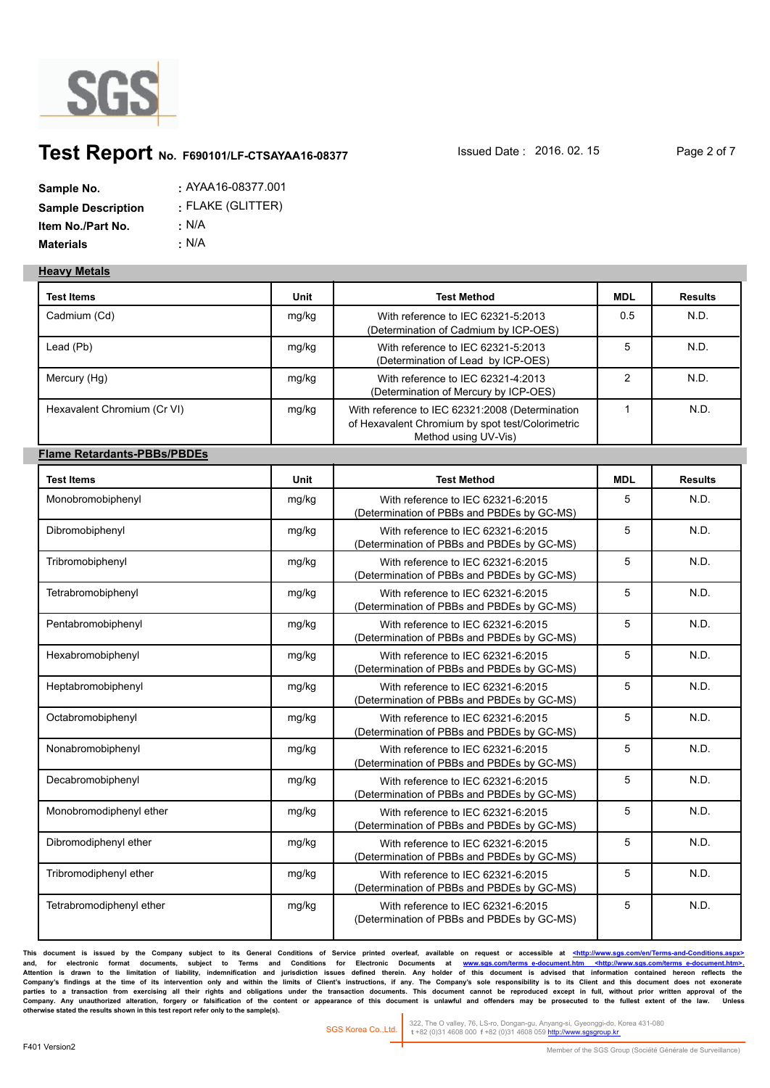

## **Test Report** No. F690101/LF-CTSAYAA16-08377 Susued Date : 2016. 02. 15 Page 2 of 7

| Sample No.                | $:$ AYAA16-08377.001 |
|---------------------------|----------------------|
| <b>Sample Description</b> | : FLAKE (GLITTER)    |
| Item No./Part No.         | : N/A                |
| <b>Materials</b>          | : N/A                |

#### **Heavy Metals**

| <b>Test Items</b>                  | Unit  | <b>Test Method</b>                                                                                                          | <b>MDL</b>     | <b>Results</b> |
|------------------------------------|-------|-----------------------------------------------------------------------------------------------------------------------------|----------------|----------------|
| Cadmium (Cd)                       | mg/kg | With reference to IEC 62321-5:2013<br>(Determination of Cadmium by ICP-OES)                                                 | 0.5            | N.D.           |
| Lead (Pb)                          | mg/kg | With reference to IEC 62321-5:2013<br>(Determination of Lead by ICP-OES)                                                    | 5              | N.D.           |
| Mercury (Hg)                       | mg/kg | With reference to IEC 62321-4:2013<br>(Determination of Mercury by ICP-OES)                                                 | $\overline{2}$ | N.D.           |
| Hexavalent Chromium (Cr VI)        | mg/kg | With reference to IEC 62321:2008 (Determination<br>of Hexavalent Chromium by spot test/Colorimetric<br>Method using UV-Vis) | $\mathbf{1}$   | N.D.           |
| <b>Flame Retardants-PBBs/PBDEs</b> |       |                                                                                                                             |                |                |
| <b>Test Items</b>                  | Unit  | <b>Test Method</b>                                                                                                          | <b>MDL</b>     | <b>Results</b> |
| Monobromobiphenyl                  | mg/kg | With reference to IEC 62321-6:2015<br>(Determination of PBBs and PBDEs by GC-MS)                                            | 5              | N.D.           |
| Dibromobiphenyl                    | mg/kg | With reference to IEC 62321-6:2015<br>(Determination of PBBs and PBDEs by GC-MS)                                            | 5              | N.D.           |
| Tribromobiphenyl                   | mg/kg | With reference to IEC 62321-6:2015<br>(Determination of PBBs and PBDEs by GC-MS)                                            | 5              | N.D.           |
| Tetrabromobiphenyl                 | mg/kg | With reference to IEC 62321-6:2015<br>(Determination of PBBs and PBDEs by GC-MS)                                            | 5              | N.D.           |
| Pentabromobiphenyl                 | mg/kg | With reference to IEC 62321-6:2015<br>(Determination of PBBs and PBDEs by GC-MS)                                            | 5              | N.D.           |
| Hexabromobiphenyl                  | mg/kg | With reference to IEC 62321-6:2015<br>(Determination of PBBs and PBDEs by GC-MS)                                            | 5              | N.D.           |
| Heptabromobiphenyl                 | mg/kg | With reference to IEC 62321-6:2015<br>(Determination of PBBs and PBDEs by GC-MS)                                            | 5              | N.D.           |
| Octabromobiphenyl                  | mg/kg | With reference to IEC 62321-6:2015<br>(Determination of PBBs and PBDEs by GC-MS)                                            | 5              | N.D.           |
| Nonabromobiphenyl                  | mg/kg | With reference to IEC 62321-6:2015<br>(Determination of PBBs and PBDEs by GC-MS)                                            | 5              | N.D.           |
| Decabromobiphenyl                  | mg/kg | With reference to IEC 62321-6:2015<br>(Determination of PBBs and PBDEs by GC-MS)                                            | 5              | N.D.           |
| Monobromodiphenyl ether            | mg/kg | With reference to IEC 62321-6:2015<br>(Determination of PBBs and PBDEs by GC-MS)                                            | 5              | N.D.           |
| Dibromodiphenyl ether              | mg/kg | With reference to IEC 62321-6:2015<br>(Determination of PBBs and PBDEs by GC-MS)                                            | 5              | N.D.           |
| Tribromodiphenyl ether             | mg/kg | With reference to IEC 62321-6:2015<br>(Determination of PBBs and PBDEs by GC-MS)                                            | 5              | N.D.           |
| Tetrabromodiphenyl ether           | mg/kg | With reference to IEC 62321-6:2015<br>(Determination of PBBs and PBDEs by GC-MS)                                            | 5              | N.D.           |

This document is issued by the Company subject to its General Conditions of Service printed overleaf, available on request or accessible at <http://www.sgs.com/en/Terms-and-Conditions. and, for electronic format documents, subject to Terms and Conditions for Electronic Documents at <u>www.sgs.com/terms\_e-document.htm <http://www.sgs.com/terms\_e-document.htm>-</u><br>Attention is drawn to the limitation of liabil Company's findings at the time of its intervention only and within the limits of Client's instructions, if any. The Company's sole responsibility is to its Client and this document does not exonerate<br>parties to a transacti Company. Any unauthorized alteration, forgery or falsification of the content or appearance of this document is unlawful and offenders may be prosecuted to the fullest extent of the law. Unless otherwise stated the results

322, The O valley, 76, LS-ro, Dongan-gu, Anyang-si, Gyeonggi-do, Korea 431-080  **t** +82 (0)31 4608 000 **f** +82 (0)31 4608 059 http://www.sgsgroup.kr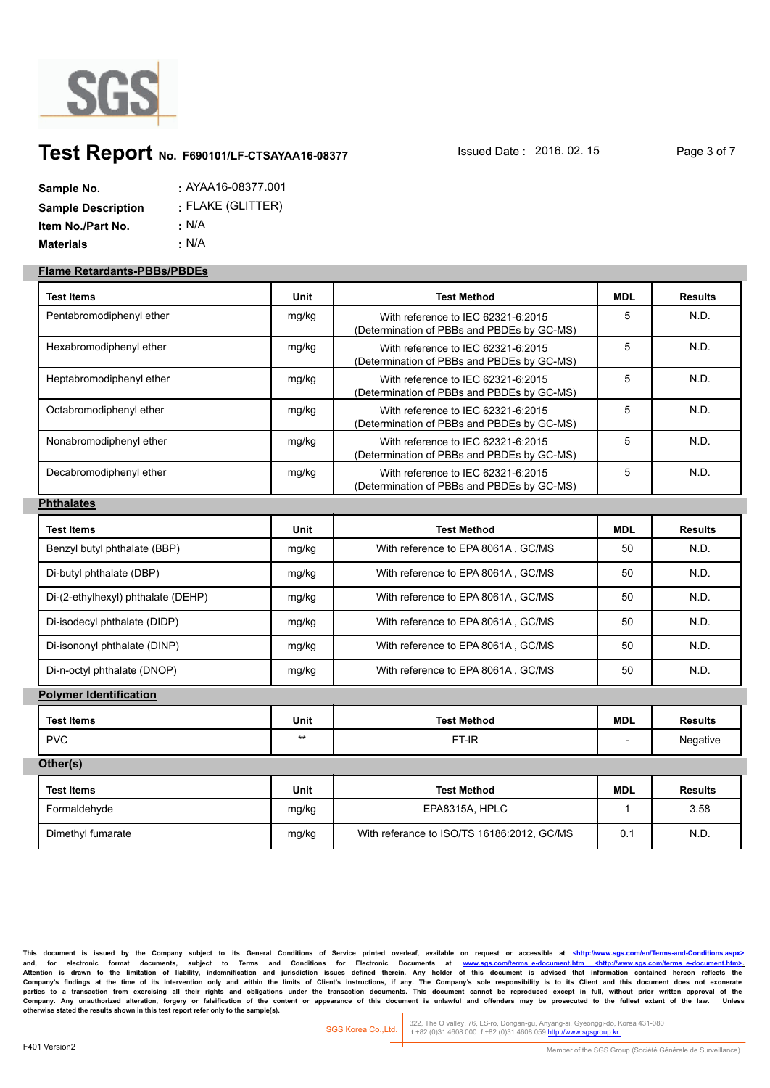

# **Test Report** No. F690101/LF-CTSAYAA16-08377 Superal Date : 2016. 02. 15 Page 3 of 7

| Sample No.                | $:$ AYAA16-08377.001 |
|---------------------------|----------------------|
| <b>Sample Description</b> | : FLAKE (GLITTER)    |
| Item No./Part No.         | : N/A                |
| <b>Materials</b>          | ∴ N/A                |

#### **Flame Retardants-PBBs/PBDEs**

| <b>Test Items</b>                  | Unit        | <b>Test Method</b>                                                               | <b>MDL</b>   | <b>Results</b> |
|------------------------------------|-------------|----------------------------------------------------------------------------------|--------------|----------------|
| Pentabromodiphenyl ether           | mg/kg       | With reference to IEC 62321-6:2015<br>(Determination of PBBs and PBDEs by GC-MS) | 5            | N.D.           |
| Hexabromodiphenyl ether            | mg/kg       | With reference to IEC 62321-6:2015<br>(Determination of PBBs and PBDEs by GC-MS) | 5            | N.D.           |
| Heptabromodiphenyl ether           | mg/kg       | With reference to IEC 62321-6:2015<br>(Determination of PBBs and PBDEs by GC-MS) | 5            | N.D.           |
| Octabromodiphenyl ether            | mg/kg       | With reference to IEC 62321-6:2015<br>(Determination of PBBs and PBDEs by GC-MS) | 5            | N.D.           |
| Nonabromodiphenyl ether            | mg/kg       | With reference to IEC 62321-6:2015<br>(Determination of PBBs and PBDEs by GC-MS) | 5            | N.D.           |
| Decabromodiphenyl ether            | mg/kg       | With reference to IEC 62321-6:2015<br>(Determination of PBBs and PBDEs by GC-MS) | 5            | N.D.           |
| <b>Phthalates</b>                  |             |                                                                                  |              |                |
| <b>Test Items</b>                  | <b>Unit</b> | <b>Test Method</b>                                                               | <b>MDL</b>   | <b>Results</b> |
| Benzyl butyl phthalate (BBP)       | mg/kg       | With reference to EPA 8061A, GC/MS                                               | 50           | N.D.           |
| Di-butyl phthalate (DBP)           | mg/kg       | With reference to EPA 8061A, GC/MS                                               | 50           | N.D.           |
| Di-(2-ethylhexyl) phthalate (DEHP) | mg/kg       | With reference to EPA 8061A, GC/MS                                               | 50           | N.D.           |
| Di-isodecyl phthalate (DIDP)       | mg/kg       | With reference to EPA 8061A, GC/MS                                               | 50           | N.D.           |
| Di-isononyl phthalate (DINP)       | mg/kg       | With reference to EPA 8061A, GC/MS                                               | 50           | N.D.           |
| Di-n-octyl phthalate (DNOP)        | mg/kg       | With reference to EPA 8061A, GC/MS                                               | 50           | N.D.           |
| <b>Polymer Identification</b>      |             |                                                                                  |              |                |
| <b>Test Items</b>                  | <b>Unit</b> | <b>Test Method</b>                                                               | <b>MDL</b>   | <b>Results</b> |
| <b>PVC</b>                         | $***$       | FT-IR                                                                            |              | Negative       |
| Other(s)                           |             |                                                                                  |              |                |
| <b>Test Items</b>                  | Unit        | <b>Test Method</b>                                                               | <b>MDL</b>   | <b>Results</b> |
| Formaldehyde                       | mg/kg       | EPA8315A, HPLC                                                                   | $\mathbf{1}$ | 3.58           |
| Dimethyl fumarate                  | mg/kg       | With referance to ISO/TS 16186:2012, GC/MS                                       | 0.1          | N.D.           |

This document is issued by the Company subject to its General Conditions of Service printed overleaf, available on request or accessible at <http://www.sgs.com/en/Termsand, for electronic format documents, subject to Terms and Conditions for Electronic Documents at <u>www.sgs.com/terms\_e-document.htm <http://www.sgs.com/terms\_e-document.htm>-</u><br>Attention is drawn to the limitation of liabil Company's findings at the time of its intervention only and within the limits of Client's instructions, if any. The Company's sole responsibility is to its Client and this document does not exonerate<br>parties to a transacti Company. Any unauthorized alteration, forgery or falsification of the content or appearance of this document is unlawful and offenders may be prosecuted to the fullest extent of the law. Unless otherwise stated the results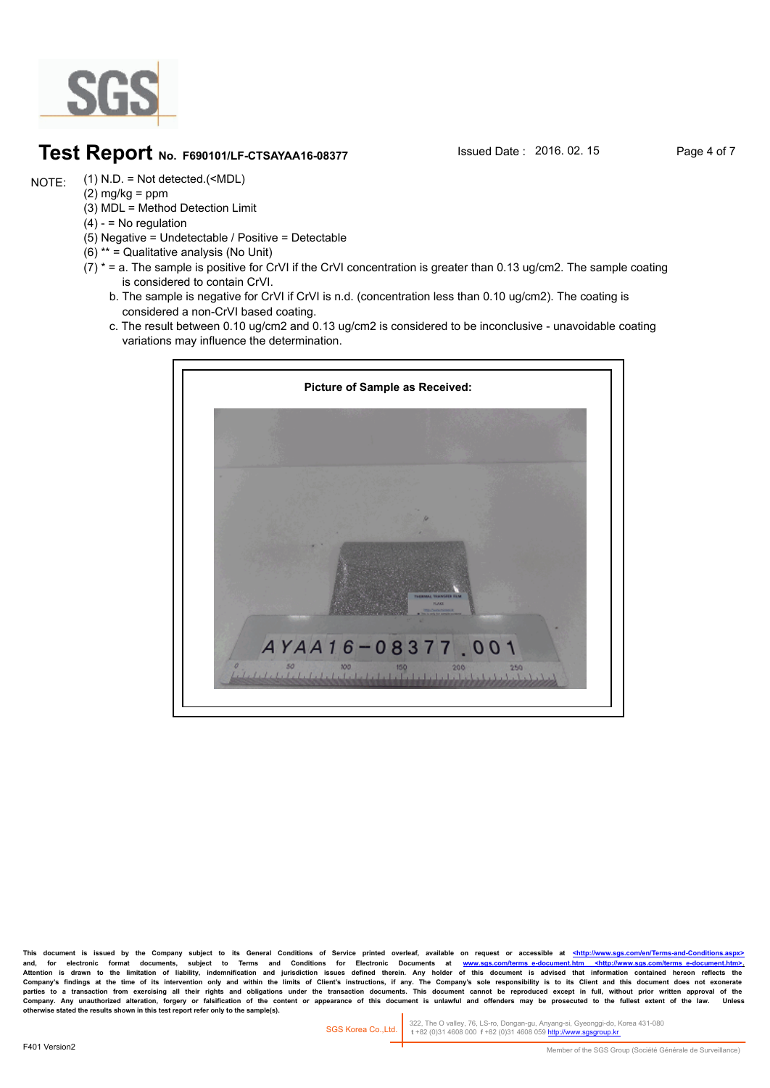

### **Test Report** No. F690101/LF-CTSAYAA16-08377 Sisued Date : 2016. 02. 15 Page 4 of 7

(1) N.D. = Not detected.(<MDL) NOTE:

- $(2)$  mg/kg = ppm (3) MDL = Method Detection Limit
- $(4) -$  = No regulation
- (5) Negative = Undetectable / Positive = Detectable
- (6) \*\* = Qualitative analysis (No Unit)
- $(7)$  \* = a. The sample is positive for CrVI if the CrVI concentration is greater than 0.13 ug/cm2. The sample coating is considered to contain CrVI.
	- b. The sample is negative for CrVI if CrVI is n.d. (concentration less than 0.10 ug/cm2). The coating is considered a non-CrVI based coating.
	- c. The result between 0.10 ug/cm2 and 0.13 ug/cm2 is considered to be inconclusive unavoidable coating variations may influence the determination.



This document is issued by the Company subject to its General Conditions of Service printed overleaf, available on request or accessible at <http://www. and, for electronic format documents, subject to Terms and Conditions for Electronic Documents at <u>www.sgs.com/terms\_e-document.htm <http://www.sgs.com/terms\_e-document.htm>-</u><br>Attention is drawn to the limitation of liabil Company's findings at the time of its intervention only and within the limits of Client's instructions, if any. The Company's sole responsibility is to its Client and this document does not exonerate<br>parties to a transacti Company. Any unauthorized alteration, forgery or falsification of the content or appearance of this document is unlawful and offenders may be prosecuted to the fullest extent of the law.<br>otherwise stated the results shown

322, The O valley, 76, LS-ro, Dongan-gu, Anyang-si, Gyeonggi-do, Korea 431-080  **t** +82 (0)31 4608 000 **f** +82 (0)31 4608 059 http://www.sgsgroup.kr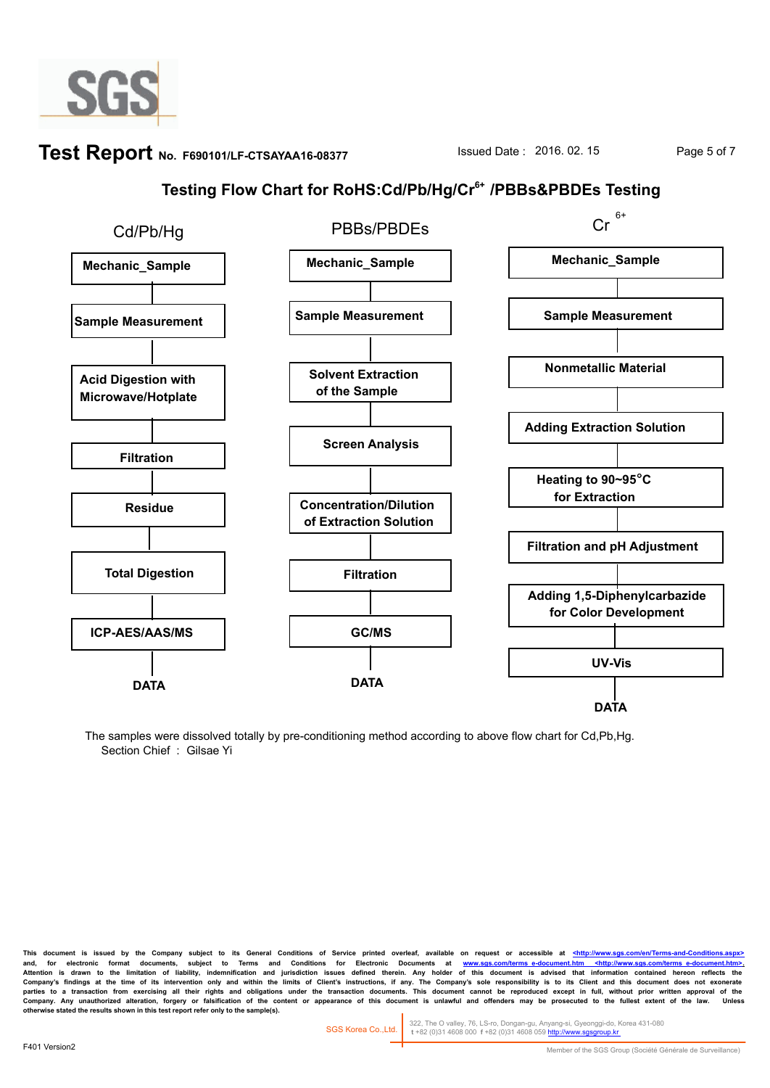

# **Test Report** No. F690101/LF-CTSAYAA16-08377 Susued Date : 2016. 02. 15 Page 5 of 7

## **Testing Flow Chart for RoHS:Cd/Pb/Hg/Cr6+ /PBBs&PBDEs Testing**



The samples were dissolved totally by pre-conditioning method according to above flow chart for Cd,Pb,Hg. Section Chief : Gilsae Yi

This document is issued by the Company subject to its General Conditions of Service printed overleaf, available on request or accessible at <http://www.sgs and, for electronic format documents, subject to Terms and Conditions for Electronic Documents at <u>www.sgs.com/terms\_e-document.htm <http://www.sgs.com/terms\_e-document.htm>-</u><br>Attention is drawn to the limitation of liabil Company's findings at the time of its intervention only and within the limits of Client's instructions, if any. The Company's sole responsibility is to its Client and this document does not exonerate<br>parties to a transacti Company. Any unauthorized alteration, forgery or faisification of the content or appearance of this document is unlawful and offenders may be prosecuted to the fullest extent of the law.<br>otherwise stated the results shown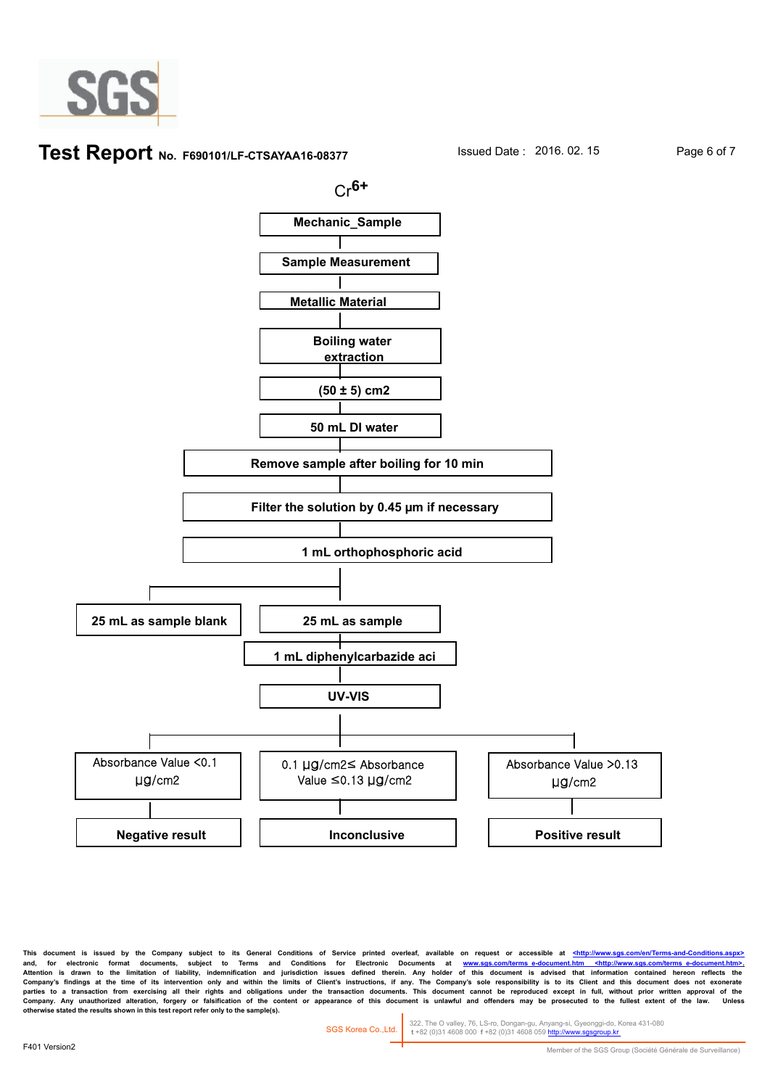

#### **Test Report** No. F690101/LF-CTSAYAA16-08377 Sisued Date : 2016. 02. 15 Page 6 of 7



This document is issued by the Company subject to its General Conditions of Service printed overleaf, available on request or accessible at <http://www. and, for electronic format documents, subject to Terms and Conditions for Electronic Documents at <u>www.sgs.com/terms\_e-document.htm <http://www.sgs.com/terms\_e-document.htm>-</u><br>Attention is drawn to the limitation of liabil Company's findings at the time of its intervention only and within the limits of Client's instructions, if any. The Company's sole responsibility is to its Client and this document does not exonerate<br>parties to a transacti Company. Any unauthorized alteration, forgery or faisification of the content or appearance of this document is unlawful and offenders may be prosecuted to the fullest extent of the law.<br>otherwise stated the results shown